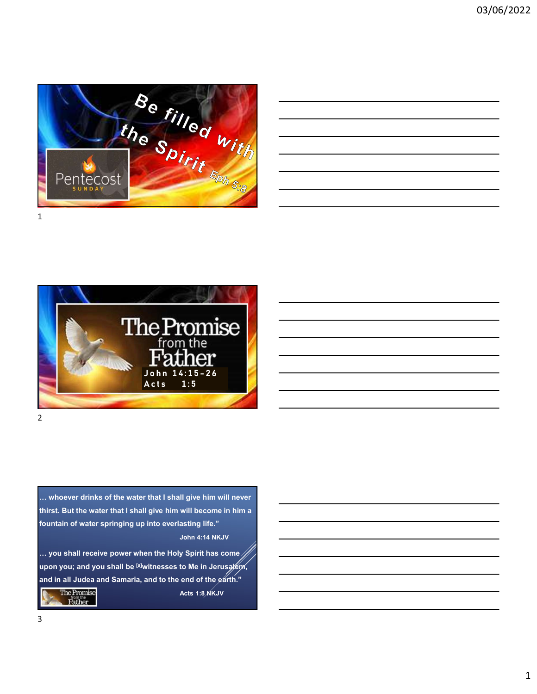

| <u> 1989 - Johann Stoff, deutscher Stoffen und der Stoffen und der Stoffen und der Stoffen und der Stoffen und der</u> |  |  |
|------------------------------------------------------------------------------------------------------------------------|--|--|
| <u> 1989 - Andrea Andrew Maria (h. 1989).</u>                                                                          |  |  |
| ,我们也不会有什么?""我们的人,我们也不会有什么?""我们的人,我们也不会有什么?""我们的人,我们也不会有什么?""我们的人,我们也不会有什么?""我们的人                                       |  |  |
| <u> 1989 - Jan Samuel Barbara, margaret e a seu a componente de la componentación de la componentación de la compo</u> |  |  |
|                                                                                                                        |  |  |



… whoever drinks of the water that I shall give him will never fountain of water springing up into everlasting life." John 4:14 NKJV

Acts 1:8 NKJV



1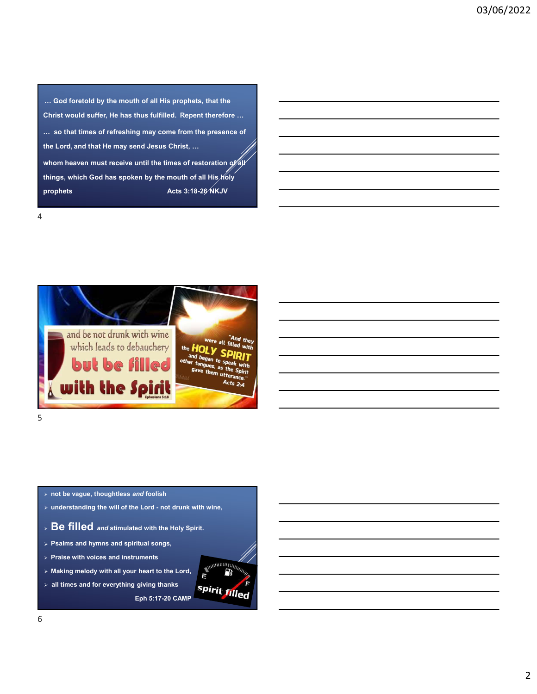… God foretold by the mouth of all His prophets, that the<br>Christ would suffer, He has thus fulfilled. Repent therefore …<br>… so that times of refreshing may come from the presence of<br>the Lord, and that He may send Jesus Chri Christ would suffer, He has thus fulfilled. Repent therefore …<br>Christ would suffer, He has thus fulfilled. Repent therefore …<br>… so that times of refreshing may come from the presence of<br>the Lord, and that He may send Jesus … so that times of refreshing may come from the presence of the Christ would suffer, He has thus fulfilled. Repent therefore which that the Christ would suffer, He has thus fulfilled. Repent therefore where the Lord, and that He may send Jesus Christ, …<br>whom heaven must receive un whom heaven must receive until the times of reference of the times of refreshing may come from the presence of<br>the Lord, and that He may send Jesus Christ, ...<br>whom heaven must receive until the times of restoration of  $\frac$ ... God foretold by the mouth of all His prophets, that the<br>Christ would suffer, He has thus fulfilled. Repent therefore ...<br>things of the Lord, and that He may send Jesus Christ, ...<br>whom heaven must receive until the tim ... God foretoid by the mouth of all His prophets, that the<br>Christ would suffer, He has thus fulfilled. Repent therefore ...<br>the Lord, and that He may send Jesus Christ, ...<br>whom heaven must receive until the times of rest



4

- $5<sub>5</sub>$
- $>$  not be vague, thoughtless and foolish
- 
- 
- 
- 
- > Making melody with all your heart to the Lord,  $\begin{array}{|c|c|} \hline \textbf{S} & \textbf{S} & \textbf{S} \end{array}$
- > all times and for everything giving thanks<br>Spirit filled

Eph 5:17-20 CAMP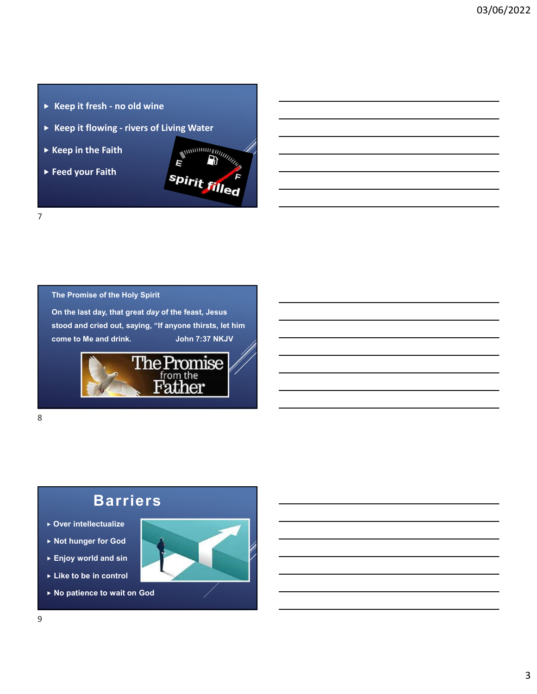- 
- 
- 
- 



7

The Promise of the Holy Spirit

On the last day, that great day of the feast, Jesus



## Barriers

8 and 2010 and 2010 and 2010 and 2010 and 2010 and 2010 and 2010 and 2010 and 2010 and 2010 and 2010 and 2010

- Over intellectualize
- ▶ Not hunger for God
- ► Enjoy world and sin
- ► Like to be in control
- ▶ No patience to wait on God